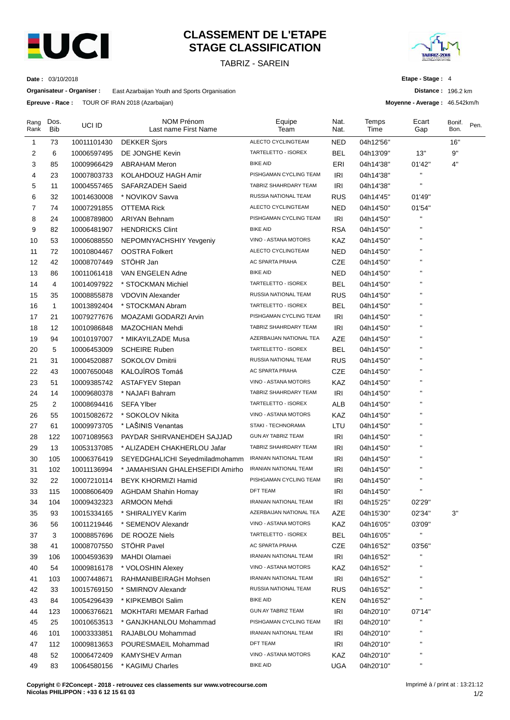

# **CLASSEMENT DE L'ETAPE STAGE CLASSIFICATION**

TABRIZ - SAREIN



**Distance :** 196.2 km **Moyenne - Average :** 46.542km/h

**Etape - Stage :** 4

**Date :** 03/10/2018

**Organisateur - Organiser :** East Azarbaijan Youth and Sports Organisation

**Epreuve - Race :** TOUR OF IRAN 2018 (Azarbaijan)

| Rang<br>Rank | Dos.<br>Bib    | UCI ID      | NOM Prénom<br>Last name First Name | Equipe<br>Team               | Nat.<br>Nat. | Temps<br>Time | Ecart<br>Gap   | Bonif.<br>Bon. | Pen. |
|--------------|----------------|-------------|------------------------------------|------------------------------|--------------|---------------|----------------|----------------|------|
| 1            | 73             | 10011101430 | <b>DEKKER Sjors</b>                | ALECTO CYCLINGTEAM           | <b>NED</b>   | 04h12'56"     |                | 16"            |      |
| 2            | 6              | 10006597495 | DE JONGHE Kevin                    | TARTELETTO - ISOREX          | BEL          | 04h13'09"     | 13"            | 9"             |      |
| 3            | 85             | 10009966429 | <b>ABRAHAM Meron</b>               | <b>BIKE AID</b>              | ERI          | 04h14'38"     | 01'42"         | 4"             |      |
| 4            | 23             | 10007803733 | KOLAHDOUZ HAGH Amir                | PISHGAMAN CYCLING TEAM       | IRI          | 04h14'38"     | н              |                |      |
| 5            | 11             | 10004557465 | SAFARZADEH Saeid                   | TABRIZ SHAHRDARY TEAM        | IRI          | 04h14'38"     | $\blacksquare$ |                |      |
| 6            | 32             | 10014630008 | * NOVIKOV Savva                    | RUSSIA NATIONAL TEAM         | <b>RUS</b>   | 04h14'45"     | 01'49"         |                |      |
| 7            | 74             | 10007291855 | OTTEMA Rick                        | ALECTO CYCLINGTEAM           | <b>NED</b>   | 04h14'50"     | 01'54"         |                |      |
| 8            | 24             | 10008789800 | <b>ARIYAN Behnam</b>               | PISHGAMAN CYCLING TEAM       | IRI          | 04h14'50"     |                |                |      |
| 9            | 82             | 10006481907 | <b>HENDRICKS Clint</b>             | <b>BIKE AID</b>              | <b>RSA</b>   | 04h14'50"     | п              |                |      |
| 10           | 53             | 10006088550 | NEPOMNYACHSHIY Yevgeniy            | VINO - ASTANA MOTORS         | KAZ          | 04h14'50"     |                |                |      |
| 11           | 72             | 10010804467 | <b>OOSTRA Folkert</b>              | ALECTO CYCLINGTEAM           | <b>NED</b>   | 04h14'50"     |                |                |      |
| 12           | 42             | 10008707449 | STÖHR Jan                          | AC SPARTA PRAHA              | CZE          | 04h14'50"     |                |                |      |
| 13           | 86             | 10011061418 | VAN ENGELEN Adne                   | <b>BIKE AID</b>              | <b>NED</b>   | 04h14'50"     |                |                |      |
| 14           | 4              | 10014097922 | * STOCKMAN Michiel                 | TARTELETTO - ISOREX          | <b>BEL</b>   | 04h14'50"     |                |                |      |
| 15           | 35             | 10008855878 | <b>VDOVIN Alexander</b>            | RUSSIA NATIONAL TEAM         | <b>RUS</b>   | 04h14'50"     | п              |                |      |
| 16           | $\mathbf{1}$   | 10013892404 | * STOCKMAN Abram                   | TARTELETTO - ISOREX          | <b>BEL</b>   | 04h14'50"     |                |                |      |
| 17           | 21             | 10079277676 | MOAZAMI GODARZI Arvin              | PISHGAMAN CYCLING TEAM       | <b>IRI</b>   | 04h14'50"     |                |                |      |
| 18           | 12             | 10010986848 | MAZOCHIAN Mehdi                    | TABRIZ SHAHRDARY TEAM        | IRI          | 04h14'50"     |                |                |      |
| 19           | 94             | 10010197007 | * MIKAYILZADE Musa                 | AZERBAIJAN NATIONAL TEA      | AZE          | 04h14'50"     |                |                |      |
| 20           | 5              | 10006453009 | <b>SCHEIRE Ruben</b>               | TARTELETTO - ISOREX          | BEL          | 04h14'50"     |                |                |      |
| 21           | 31             | 10004520887 | SOKOLOV Dmitrii                    | RUSSIA NATIONAL TEAM         | <b>RUS</b>   | 04h14'50"     | п              |                |      |
| 22           | 43             | 10007650048 | KALOJÍROS Tomáš                    | AC SPARTA PRAHA              | <b>CZE</b>   | 04h14'50"     |                |                |      |
| 23           | 51             | 10009385742 | <b>ASTAFYEV Stepan</b>             | VINO - ASTANA MOTORS         | KAZ          | 04h14'50"     | п              |                |      |
| 24           | 14             | 10009680378 | * NAJAFI Bahram                    | TABRIZ SHAHRDARY TEAM        | <b>IRI</b>   | 04h14'50"     |                |                |      |
| 25           | $\overline{2}$ | 10008694416 | <b>SEFA Ylber</b>                  | TARTELETTO - ISOREX          | <b>ALB</b>   | 04h14'50"     |                |                |      |
| 26           | 55             | 10015082672 | * SOKOLOV Nikita                   | VINO - ASTANA MOTORS         | KAZ          | 04h14'50"     |                |                |      |
| 27           | 61             | 10009973705 | * LAŠINIS Venantas                 | STAKI - TECHNORAMA           | LTU          | 04h14'50"     |                |                |      |
| 28           | 122            | 10071089563 | PAYDAR SHIRVANEHDEH SAJJAD         | <b>GUN AY TABRIZ TEAM</b>    | <b>IRI</b>   | 04h14'50"     |                |                |      |
| 29           | 13             | 10053137085 | * ALIZADEH CHAKHERLOU Jafar        | TABRIZ SHAHRDARY TEAM        | IRI          | 04h14'50"     |                |                |      |
| 30           | 105            | 10006376419 | SEYEDGHALICHI Seyedmiladmohamm     | IRANIAN NATIONAL TEAM        | IRI          | 04h14'50"     |                |                |      |
| 31           | 102            | 10011136994 | * JAMAHISIAN GHALEHSEFIDI Amirho   | <b>IRANIAN NATIONAL TEAM</b> | <b>IRI</b>   | 04h14'50"     | п              |                |      |
| 32           | 22             | 10007210114 | <b>BEYK KHORMIZI Hamid</b>         | PISHGAMAN CYCLING TEAM       | IRI          | 04h14'50"     | п              |                |      |
| 33           | 115            | 10008606409 | <b>AGHDAM Shahin Homay</b>         | <b>DFT TEAM</b>              | IRI          | 04h14'50"     | п              |                |      |
| 34           | 104            | 10009432323 | <b>ARMOON Mehdi</b>                | <b>IRANIAN NATIONAL TEAM</b> | IRI          | 04h15'25"     | 02'29"         |                |      |
| 35           | 93             | 10015334165 | * SHIRALIYEV Karim                 | AZERBAIJAN NATIONAL TEA      | AZE          | 04h15'30"     | 02'34"         | 3"             |      |
| 36           | 56             | 10011219446 | * SEMENOV Alexandr                 | VINO - ASTANA MOTORS         | KAZ          | 04h16'05"     | 03'09"         |                |      |
| 37           | 3              | 10008857696 | DE ROOZE Niels                     | TARTELETTO - ISOREX          | <b>BEL</b>   | 04h16'05"     | П              |                |      |
| 38           | 41             | 10008707550 | <b>STOHR Pavel</b>                 | AC SPARTA PRAHA              | CZE          | 04h16'52"     | 03'56"         |                |      |
| 39           | 106            | 10004593639 | <b>MAHDI Olamaei</b>               | <b>IRANIAN NATIONAL TEAM</b> | <b>IRI</b>   | 04h16'52"     |                |                |      |
| 40           | 54             | 10009816178 | * VOLOSHIN Alexey                  | VINO - ASTANA MOTORS         | KAZ          | 04h16'52"     | п              |                |      |
| 41           | 103            | 10007448671 | RAHMANIBEIRAGH Mohsen              | IRANIAN NATIONAL TEAM        | IRI          | 04h16'52"     | п              |                |      |
| 42           | 33             | 10015769150 | * SMIRNOV Alexandr                 | RUSSIA NATIONAL TEAM         | <b>RUS</b>   | 04h16'52"     |                |                |      |
| 43           | 84             | 10054296439 | * KIPKEMBOI Salim                  | <b>BIKE AID</b>              | <b>KEN</b>   | 04h16'52"     | п              |                |      |
| 44           | 123            | 10006376621 | MOKHTARI MEMAR Farhad              | <b>GUN AY TABRIZ TEAM</b>    | IRI          | 04h20'10"     | 07'14"         |                |      |
| 45           | 25             | 10010653513 | * GANJKHANLOU Mohammad             | PISHGAMAN CYCLING TEAM       | IRI          | 04h20'10"     | н              |                |      |
| 46           | 101            | 10003333851 | RAJABLOU Mohammad                  | IRANIAN NATIONAL TEAM        | <b>IRI</b>   | 04h20'10"     | $\mathbf{H}$   |                |      |
| 47           | 112            | 10009813653 | POURESMAEIL Mohammad               | <b>DFT TEAM</b>              | <b>IRI</b>   | 04h20'10"     | п              |                |      |
| 48           | 52             | 10006472409 | KAMYSHEV Arman                     | VINO - ASTANA MOTORS         | KAZ          | 04h20'10"     | п              |                |      |
| 49           | 83             | 10064580156 | * KAGIMU Charles                   | <b>BIKE AID</b>              | <b>UGA</b>   | 04h20'10"     | Н              |                |      |
|              |                |             |                                    |                              |              |               |                |                |      |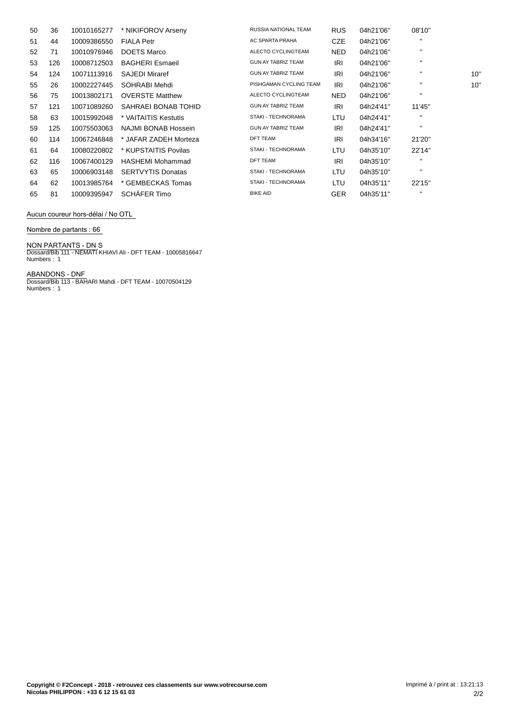| 50 | 36  | 10010165277 | * NIKIFOROV Arseny       | <b>RUSSIA NATIONAL TEAM</b> | <b>RUS</b> | 04h21'06" | 08'10"       |     |
|----|-----|-------------|--------------------------|-----------------------------|------------|-----------|--------------|-----|
| 51 | 44  | 10009386550 | <b>FIALA Petr</b>        | AC SPARTA PRAHA             | <b>CZE</b> | 04h21'06" | $\mathbf{H}$ |     |
| 52 | 71  | 10010976946 | <b>DOETS Marco</b>       | ALECTO CYCLINGTEAM          | NED.       | 04h21'06" | $\mathbf{H}$ |     |
| 53 | 126 | 10008712503 | <b>BAGHERI Esmaeil</b>   | <b>GUN AY TABRIZ TEAM</b>   | IRI        | 04h21'06" | $\mathbf{H}$ |     |
| 54 | 124 | 10071113916 | <b>SAJEDI Miraref</b>    | <b>GUN AY TABRIZ TEAM</b>   | IRI        | 04h21'06" |              | 10' |
| 55 | 26  | 10002227445 | SOHRABI Mehdi            | PISHGAMAN CYCLING TEAM      | IRI        | 04h21'06" | $\mathbf{H}$ | 10' |
| 56 | 75  | 10013802171 | <b>OVERSTE Matthew</b>   | ALECTO CYCLINGTEAM          | NED.       | 04h21'06" | $\mathbf{H}$ |     |
| 57 | 121 | 10071089260 | SAHRAEI BONAB TOHID      | <b>GUN AY TABRIZ TEAM</b>   | IRI        | 04h24'41" | 11'45"       |     |
| 58 | 63  | 10015992048 | * VAITAITIS Kestutis     | <b>STAKI - TECHNORAMA</b>   | LTU        | 04h24'41" | $\mathbf{H}$ |     |
| 59 | 125 | 10075503063 | NAJMI BONAB Hossein      | <b>GUN AY TABRIZ TEAM</b>   | IRI        | 04h24'41" | $\mathbf{H}$ |     |
| 60 | 114 | 10067246848 | * JAFAR ZADEH Morteza    | <b>DFT TEAM</b>             | IRI        | 04h34'16" | 21'20"       |     |
| 61 | 64  | 10080220802 | * KUPSTAITIS Povilas     | <b>STAKI - TECHNORAMA</b>   | LTU        | 04h35'10" | 22'14"       |     |
| 62 | 116 | 10067400129 | <b>HASHEMI Mohammad</b>  | <b>DFT TEAM</b>             | IRI        | 04h35'10" | $\mathbf{H}$ |     |
| 63 | 65  | 10006903148 | <b>SERTVYTIS Donatas</b> | STAKI - TECHNORAMA          | LTU        | 04h35'10" | $\mathbf{H}$ |     |
| 64 | 62  | 10013985764 | * GEMBECKAS Tomas        | STAKI - TECHNORAMA          | LTU        | 04h35'11" | 22'15"       |     |
| 65 | 81  | 10009395947 | SCHÄFER Timo             | <b>BIKE AID</b>             | <b>GER</b> | 04h35'11" | $\mathbf{H}$ |     |
|    |     |             |                          |                             |            |           |              |     |

### **Aucun coureur hors-dÈlai / No OTL**

#### **Nombre de partants : 66**

**NON PARTANTS - DN** S Dossard/Bib 111 - NEMATI KHIAVI Ali - DFT TEAM - 10005816647 Numbers : 1

**ABANDONS - DNF** Dossard/Bib 113 - BAHARI Mahdi - DFT TEAM - 10070504129 Numbers : 1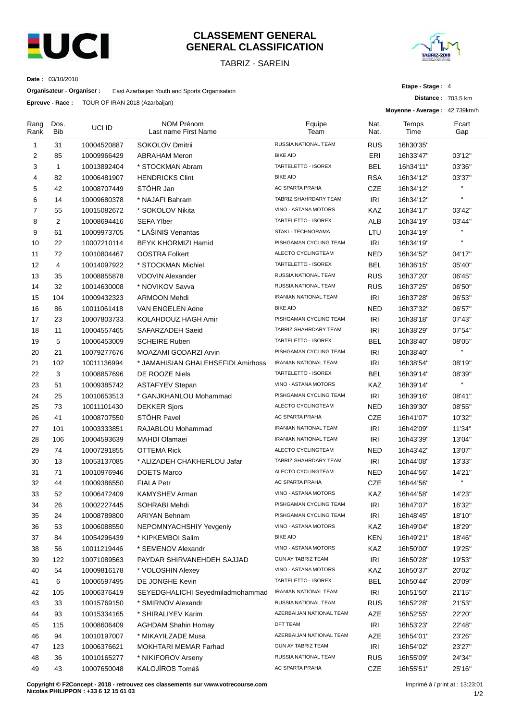

# **CLASSEMENT GENERAL GENERAL CLASSIFICATION**

TABRIZ - SAREIN



**Distance :** 703.5 km

**Etape - Stage :** 4

**Moyenne - Average :** 42.739km/h

**Date :** 03/10/2018

**Organisateur - Organiser :** East Azarbaijan Youth and Sports Organisation

**Epreuve - Race :** TOUR OF IRAN 2018 (Azarbaijan)

| Rang<br>Rank   | Dos.<br>Bib  | UCI ID      | <b>NOM Prénom</b><br>Last name First Name | Equipe<br>Team               | Nat.<br>Nat. | Temps<br>Time | Ecart<br>Gap |
|----------------|--------------|-------------|-------------------------------------------|------------------------------|--------------|---------------|--------------|
| 1              | 31           | 10004520887 | <b>SOKOLOV Dmitrii</b>                    | RUSSIA NATIONAL TEAM         | <b>RUS</b>   | 16h30'35"     |              |
| 2              | 85           | 10009966429 | <b>ABRAHAM Meron</b>                      | <b>BIKE AID</b>              | ERI          | 16h33'47"     | 03'12"       |
| 3              | $\mathbf{1}$ | 10013892404 | * STOCKMAN Abram                          | TARTELETTO - ISOREX          | <b>BEL</b>   | 16h34'11"     | 03'36"       |
| 4              | 82           | 10006481907 | <b>HENDRICKS Clint</b>                    | <b>BIKE AID</b>              | <b>RSA</b>   | 16h34'12"     | 03'37"       |
| 5              | 42           | 10008707449 | STÖHR Jan                                 | AC SPARTA PRAHA              | <b>CZE</b>   | 16h34'12"     | H.           |
| 6              | 14           | 10009680378 | * NAJAFI Bahram                           | TABRIZ SHAHRDARY TEAM        | IRI          | 16h34'12"     | $\mathbf{H}$ |
| $\overline{7}$ | 55           | 10015082672 | * SOKOLOV Nikita                          | VINO - ASTANA MOTORS         | KAZ          | 16h34'17"     | 03'42"       |
| 8              | 2            | 10008694416 | <b>SEFA Ylber</b>                         | TARTELETTO - ISOREX          | ALB          | 16h34'19"     | 03'44"       |
| 9              | 61           | 10009973705 | * LAŠINIS Venantas                        | STAKI - TECHNORAMA           | LTU          | 16h34'19"     |              |
| 10             | 22           | 10007210114 | BEYK KHORMIZI Hamid                       | PISHGAMAN CYCLING TEAM       | IRI          | 16h34'19"     |              |
| 11             | 72           | 10010804467 | <b>OOSTRA Folkert</b>                     | ALECTO CYCLINGTEAM           | <b>NED</b>   | 16h34'52"     | 04'17"       |
| 12             | 4            | 10014097922 | * STOCKMAN Michiel                        | TARTELETTO - ISOREX          | <b>BEL</b>   | 16h36'15"     | 05'40"       |
| 13             | 35           | 10008855878 | <b>VDOVIN Alexander</b>                   | RUSSIA NATIONAL TEAM         | <b>RUS</b>   | 16h37'20"     | 06'45"       |
| 14             | 32           | 10014630008 | * NOVIKOV Savva                           | RUSSIA NATIONAL TEAM         | <b>RUS</b>   | 16h37'25"     | 06'50"       |
| 15             | 104          | 10009432323 | <b>ARMOON Mehdi</b>                       | IRANIAN NATIONAL TEAM        | IRI          | 16h37'28"     | 06'53"       |
| 16             | 86           | 10011061418 | VAN ENGELEN Adne                          | <b>BIKE AID</b>              | <b>NED</b>   | 16h37'32"     | 06'57"       |
| 17             | 23           | 10007803733 | KOLAHDOUZ HAGH Amir                       | PISHGAMAN CYCLING TEAM       | <b>IRI</b>   | 16h38'18"     | 07'43"       |
| 18             | 11           | 10004557465 | SAFARZADEH Saeid                          | TABRIZ SHAHRDARY TEAM        | <b>IRI</b>   | 16h38'29"     | 07'54"       |
| 19             | 5            | 10006453009 | <b>SCHEIRE Ruben</b>                      | TARTELETTO - ISOREX          | BEL          | 16h38'40"     | 08'05"       |
| 20             | 21           | 10079277676 | MOAZAMI GODARZI Arvin                     | PISHGAMAN CYCLING TEAM       | <b>IRI</b>   | 16h38'40"     | H,           |
| 21             | 102          | 10011136994 | * JAMAHISIAN GHALEHSEFIDI Amirhoss        | <b>IRANIAN NATIONAL TEAM</b> | <b>IRI</b>   | 16h38'54"     | 08'19"       |
| 22             | 3            | 10008857696 | DE ROOZE Niels                            | TARTELETTO - ISOREX          | BEL          | 16h39'14"     | 08'39"       |
| 23             | 51           | 10009385742 | <b>ASTAFYEV Stepan</b>                    | VINO - ASTANA MOTORS         | KAZ          | 16h39'14"     | H            |
| 24             | 25           | 10010653513 | * GANJKHANLOU Mohammad                    | PISHGAMAN CYCLING TEAM       | <b>IRI</b>   | 16h39'16"     | 08'41"       |
| 25             | 73           | 10011101430 | <b>DEKKER Sjors</b>                       | ALECTO CYCLINGTEAM           | <b>NED</b>   | 16h39'30"     | 08'55"       |
| 26             | 41           | 10008707550 | STÖHR Pavel                               | AC SPARTA PRAHA              | CZE          | 16h41'07"     | 10'32"       |
| 27             | 101          | 10003333851 | RAJABLOU Mohammad                         | <b>IRANIAN NATIONAL TEAM</b> | <b>IRI</b>   | 16h42'09"     | 11'34"       |
| 28             | 106          | 10004593639 | <b>MAHDI Olamaei</b>                      | IRANIAN NATIONAL TEAM        | <b>IRI</b>   |               |              |
| 29             | 74           |             | <b>OTTEMA Rick</b>                        | <b>ALECTO CYCLINGTEAM</b>    | <b>NED</b>   | 16h43'39"     | 13'04"       |
|                |              | 10007291855 |                                           | TABRIZ SHAHRDARY TEAM        |              | 16h43'42"     | 13'07"       |
| 30             | 13           | 10053137085 | * ALIZADEH CHAKHERLOU Jafar               | ALECTO CYCLINGTEAM           | IRI          | 16h44'08"     | 13'33"       |
| 31             | 71           | 10010976946 | <b>DOETS Marco</b>                        | AC SPARTA PRAHA              | <b>NED</b>   | 16h44'56"     | 14'21"<br>H, |
| 32             | 44           | 10009386550 | <b>FIALA Petr</b>                         | VINO - ASTANA MOTORS         | <b>CZE</b>   | 16h44'56"     |              |
| 33             | 52           | 10006472409 | <b>KAMYSHEV Arman</b>                     |                              | KAZ          | 16h44'58"     | 14'23"       |
| 34             | 26           | 10002227445 | SOHRABI Mehdi                             | PISHGAMAN CYCLING TEAM       | <b>IRI</b>   | 16h47'07"     | 16'32"       |
| 35             | 24           | 10008789800 | <b>ARIYAN Behnam</b>                      | PISHGAMAN CYCLING TEAM       | <b>IRI</b>   | 16h48'45"     | 18'10"       |
| 36             | 53           | 10006088550 | NEPOMNYACHSHIY Yevgeniy                   | VINO - ASTANA MOTORS         | KAZ          | 16h49'04"     | 18'29"       |
| 37             | 84           | 10054296439 | * KIPKEMBOI Salim                         | <b>BIKE AID</b>              | <b>KEN</b>   | 16h49'21"     | 18'46"       |
| 38             | 56           | 10011219446 | * SEMENOV Alexandr                        | VINO - ASTANA MOTORS         | KAZ          | 16h50'00"     | 19'25"       |
| 39             | 122          | 10071089563 | PAYDAR SHIRVANEHDEH SAJJAD                | GUN AY TABRIZ TEAM           | <b>IRI</b>   | 16h50'28"     | 19'53"       |
| 40             | 54           | 10009816178 | * VOLOSHIN Alexey                         | VINO - ASTANA MOTORS         | KAZ          | 16h50'37"     | 20'02"       |
| 41             | 6            | 10006597495 | DE JONGHE Kevin                           | TARTELETTO - ISOREX          | <b>BEL</b>   | 16h50'44"     | 20'09"       |
| 42             | 105          | 10006376419 | SEYEDGHALICHI Seyedmiladmohammad          | <b>IRANIAN NATIONAL TEAM</b> | <b>IRI</b>   | 16h51'50"     | 21'15"       |
| 43             | 33           | 10015769150 | * SMIRNOV Alexandr                        | RUSSIA NATIONAL TEAM         | <b>RUS</b>   | 16h52'28"     | 21'53"       |
| 44             | 93           | 10015334165 | * SHIRALIYEV Karim                        | AZERBAIJAN NATIONAL TEAM     | AZE          | 16h52'55"     | 22'20"       |
| 45             | 115          | 10008606409 | <b>AGHDAM Shahin Homay</b>                | DFT TEAM                     | <b>IRI</b>   | 16h53'23"     | 22'48"       |
| 46             | 94           | 10010197007 | * MIKAYILZADE Musa                        | AZERBAIJAN NATIONAL TEAM     | AZE          | 16h54'01"     | 23'26"       |
| 47             | 123          | 10006376621 | MOKHTARI MEMAR Farhad                     | GUN AY TABRIZ TEAM           | <b>IRI</b>   | 16h54'02"     | 23'27"       |
| 48             | 36           | 10010165277 | * NIKIFOROV Arseny                        | RUSSIA NATIONAL TEAM         | <b>RUS</b>   | 16h55'09"     | 24'34"       |
| 49             | 43           | 10007650048 | KALOJÍROS Tomáš                           | AC SPARTA PRAHA              | CZE          | 16h55'51"     | 25'16"       |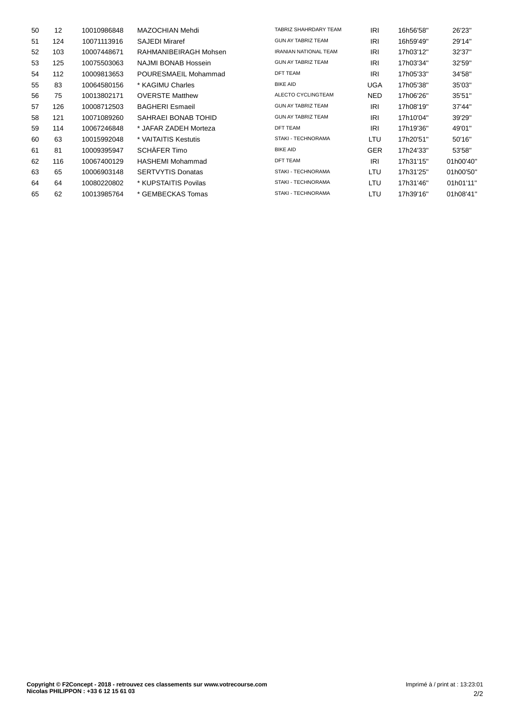| 12  | 10010986848 | MAZOCHIAN Mehdi          | TABRIZ SHAHRDARY TEAM        | <b>IRI</b> | 16h56'58" | 26'23"    |
|-----|-------------|--------------------------|------------------------------|------------|-----------|-----------|
| 124 | 10071113916 | <b>SAJEDI Miraref</b>    | <b>GUN AY TABRIZ TEAM</b>    | <b>IRI</b> | 16h59'49" | 29'14"    |
| 103 | 10007448671 | RAHMANIBEIRAGH Mohsen    | <b>IRANIAN NATIONAL TEAM</b> | <b>IRI</b> | 17h03'12" | 32'37"    |
| 125 | 10075503063 | NAJMI BONAB Hossein      | <b>GUN AY TABRIZ TEAM</b>    | <b>IRI</b> | 17h03'34" | 32'59"    |
| 112 | 10009813653 | POURESMAEIL Mohammad     | <b>DFT TEAM</b>              | <b>IRI</b> | 17h05'33" | 34'58"    |
| 83  | 10064580156 | * KAGIMU Charles         | <b>BIKE AID</b>              | UGA        | 17h05'38" | 35'03"    |
| 75  | 10013802171 | <b>OVERSTE Matthew</b>   | ALECTO CYCLINGTEAM           | NED.       | 17h06'26" | 35'51"    |
| 126 | 10008712503 | <b>BAGHERI Esmaeil</b>   | <b>GUN AY TABRIZ TEAM</b>    | IRI        | 17h08'19" | 37'44"    |
| 121 | 10071089260 | SAHRAEI BONAB TOHID      | <b>GUN AY TABRIZ TEAM</b>    | <b>IRI</b> | 17h10'04" | 39'29"    |
| 114 | 10067246848 | * JAFAR ZADEH Morteza    | <b>DFT TEAM</b>              | <b>IRI</b> | 17h19'36" | 49'01"    |
| 63  | 10015992048 | * VAITAITIS Kestutis     | STAKI - TECHNORAMA           | LTU        | 17h20'51" | 50'16"    |
| 81  | 10009395947 | SCHÄFER Timo             | <b>BIKE AID</b>              | <b>GER</b> | 17h24'33" | 53'58"    |
| 116 | 10067400129 | HASHEMI Mohammad         | <b>DFT TEAM</b>              | <b>IRI</b> | 17h31'15" | 01h00'40" |
| 65  | 10006903148 | <b>SERTVYTIS Donatas</b> | STAKI - TECHNORAMA           | LTU        | 17h31'25" | 01h00'50" |
| 64  | 10080220802 | * KUPSTAITIS Povilas     | STAKI - TECHNORAMA           | LTU        | 17h31'46" | 01h01'11" |
| 62  | 10013985764 | * GEMBECKAS Tomas        | STAKI - TECHNORAMA           | LTU        | 17h39'16" | 01h08'41" |
|     |             |                          |                              |            |           |           |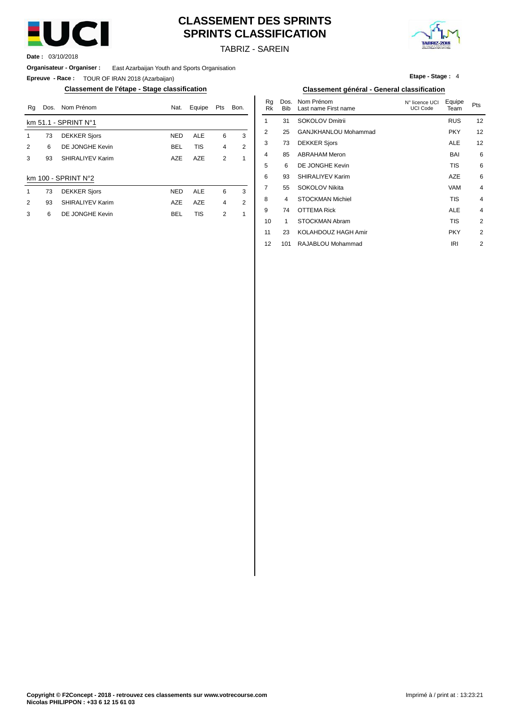

# **CLASSEMENT DES SPRINTS SPRINTS CLASSIFICATION**



TABRIZ - SAREIN

**Date :** 03/10/2018

**Organisateur - Organiser :** East Azarbaijan Youth and Sports Organisation

**Epreuve - Race :** TOUR OF IRAN 2018 (Azarbaijan)

### **Classement de l'étape - Stage classification Classement général - General classification**

| Rq | Dos. | Nom Prénom             | Nat.       | Equipe     | Pts            | Bon. | Ra<br>Rk | Dos.<br><b>Bib</b> | Nom Prénom<br>Last name First name | N° licence UCI<br><b>UCI Code</b> | Equipe<br>Team | Pts |
|----|------|------------------------|------------|------------|----------------|------|----------|--------------------|------------------------------------|-----------------------------------|----------------|-----|
|    |      | km $51.1 - SPRINT No1$ |            |            |                |      |          | 31                 | SOKOLOV Dmitrii                    |                                   | <b>RUS</b>     | 12  |
|    | 73   | <b>DEKKER Sjors</b>    | <b>NED</b> | <b>ALE</b> | 6              | 3    | 2        | 25                 | GANJKHANLOU Mohammad               |                                   | <b>PKY</b>     | 12  |
| 2  | 6    | DE JONGHE Kevin        | BEL        | <b>TIS</b> | $\overline{4}$ | 2    | 3        | 73                 | <b>DEKKER Sjors</b>                |                                   | <b>ALE</b>     | 12  |
| 3  | 93   | SHIRALIYEV Karim       | <b>AZE</b> | <b>AZE</b> | 2              |      | 4        | 85                 | <b>ABRAHAM Meron</b>               |                                   | <b>BAI</b>     | 6   |
|    |      |                        |            |            |                |      | 5        | 6                  | DE JONGHE Kevin                    |                                   | <b>TIS</b>     | 6   |
|    |      | km 100 - SPRINT N°2    |            |            |                |      | 6        | 93                 | SHIRALIYEV Karim                   |                                   | <b>AZE</b>     | 6   |
|    | 73   | <b>DEKKER Sjors</b>    | <b>NED</b> | <b>ALE</b> | 6              | 3    |          | 55                 | SOKOLOV Nikita                     |                                   | <b>VAM</b>     |     |
| 2  | 93   | SHIRALIYEV Karim       | <b>AZE</b> | <b>AZE</b> | 4              | 2    | 8        | 4                  | <b>STOCKMAN Michiel</b>            |                                   | <b>TIS</b>     |     |
| 3  | 6    | DE JONGHE Kevin        | BEL        | <b>TIS</b> | 2              |      | 9        | 74                 | <b>OTTEMA Rick</b>                 |                                   | <b>ALE</b>     |     |
|    |      |                        |            |            |                |      | 10       |                    | STOCKMAN Ahram                     |                                   | <b>TIQ</b>     |     |

|  |  | Etape - Stage: 4 |  |
|--|--|------------------|--|
|  |  |                  |  |

| Nat.       | Equipe     | Pts            | Bon.           | Rq<br>Rk       | Dos.<br><b>Bib</b> | Nom Prénom<br>Last name First name | N° licence UCI<br>UCI Code | Equipe<br>Team | Pts            |
|------------|------------|----------------|----------------|----------------|--------------------|------------------------------------|----------------------------|----------------|----------------|
|            |            |                |                | 1              | 31                 | SOKOLOV Dmitrii                    |                            | <b>RUS</b>     | 12             |
| NED        | <b>ALE</b> | 6              | 3              | $\overline{2}$ | 25                 | GANJKHANLOU Mohammad               |                            | <b>PKY</b>     | 12             |
| <b>BEL</b> | <b>TIS</b> | 4              | $\overline{2}$ | 3              | 73                 | <b>DEKKER Sjors</b>                |                            | <b>ALE</b>     | 12             |
| AZE        | <b>AZE</b> | $\overline{2}$ | 1              | $\overline{4}$ | 85                 | <b>ABRAHAM Meron</b>               |                            | BAI            | 6              |
|            |            |                |                | 5              | 6                  | DE JONGHE Kevin                    |                            | TIS            | 6              |
|            |            |                |                | 6              | 93                 | SHIRALIYEV Karim                   |                            | <b>AZE</b>     | 6              |
| NED        | <b>ALE</b> | 6              | 3              | 7              | 55                 | SOKOLOV Nikita                     |                            | VAM            | $\overline{4}$ |
| AZE        | <b>AZE</b> | 4              | $\overline{2}$ | 8              | 4                  | <b>STOCKMAN Michiel</b>            |                            | <b>TIS</b>     | $\overline{4}$ |
| BEL        | <b>TIS</b> | $\overline{2}$ | 1              | 9              | 74                 | <b>OTTEMA Rick</b>                 |                            | <b>ALE</b>     | $\overline{4}$ |
|            |            |                |                | 10             | 1                  | STOCKMAN Abram                     |                            | TIS            | $\overline{2}$ |
|            |            |                |                | 11             | 23                 | KOLAHDOUZ HAGH Amir                |                            | <b>PKY</b>     | $\overline{2}$ |
|            |            |                |                | 12             | 101                | RAJABLOU Mohammad                  |                            | <b>IRI</b>     | $\overline{2}$ |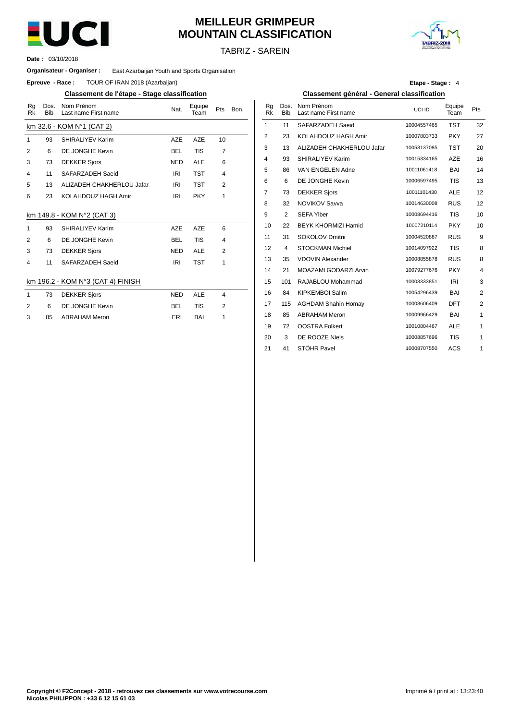

# **MEILLEUR GRIMPEUR MOUNTAIN CLASSIFICATION**



TABRIZ - SAREIN

03/10/2018 **Date :**

#### **Organisateur - Organiser :** East Azarbaijan Youth and Sports Organisation

**Epreuve - Race:** TOUR OF IRAN 2018 (Azarbaijan)

### **Classement de l'étape - Stage classification Classement général - General classification**

| Rg<br>Rk     | Dos.<br><b>Bib</b> | Nom Prénom<br>Last name First name | Nat.       | Equipe<br>Team | Pts            | Bon. | Rg<br><b>Rk</b> | Dos.<br><b>Bib</b> | Nom Prénom<br>Last name First na |
|--------------|--------------------|------------------------------------|------------|----------------|----------------|------|-----------------|--------------------|----------------------------------|
|              |                    | km 32.6 - KOM N°1 (CAT 2)          |            |                |                |      | 1               | 11                 | <b>SAFARZADEH Sa</b>             |
| $\mathbf{1}$ | 93                 | SHIRALIYEV Karim                   | <b>AZE</b> | <b>AZE</b>     | 10             |      | 2               | 23                 | KOLAHDOUZ HA                     |
| 2            | 6                  | DE JONGHE Kevin                    | <b>BEL</b> | <b>TIS</b>     | $\overline{7}$ |      | 3               | 13                 | <b>ALIZADEH CHAK</b>             |
| 3            | 73                 | <b>DEKKER Sjors</b>                | <b>NED</b> | <b>ALE</b>     | 6              |      | 4               | 93                 | SHIRALIYEV Kari                  |
| 4            | 11                 | SAFARZADEH Saeid                   | <b>IRI</b> | <b>TST</b>     | $\overline{4}$ |      | 5               | 86                 | VAN ENGELEN A                    |
| 5            | 13                 | ALIZADEH CHAKHERLOU Jafar          | IRI        | <b>TST</b>     | 2              |      | 6               | 6                  | DE JONGHE Kev                    |
| 6            | 23                 | KOLAHDOUZ HAGH Amir                | <b>IRI</b> | <b>PKY</b>     | 1              |      | 7               | 73                 | <b>DEKKER Sjors</b>              |
|              |                    |                                    |            |                |                |      | 8               | 32                 | <b>NOVIKOV Savva</b>             |
|              |                    | km 149.8 - KOM N°2 (CAT 3)         |            |                |                |      | 9               | 2                  | <b>SEFA Ylber</b>                |
| $\mathbf{1}$ | 93                 | SHIRALIYEV Karim                   | <b>AZE</b> | <b>AZE</b>     | 6              |      | 10              | 22                 | <b>BEYK KHORMIZI</b>             |
| 2            | 6                  | DE JONGHE Kevin                    | <b>BEL</b> | <b>TIS</b>     | $\overline{4}$ |      | 11              | 31                 | SOKOLOV Dmitrii                  |
| 3            | 73                 | <b>DEKKER Sjors</b>                | <b>NED</b> | <b>ALE</b>     | 2              |      | 12              | 4                  | <b>STOCKMAN Mich</b>             |
| 4            | 11                 | SAFARZADEH Saeid                   | <b>IRI</b> | <b>TST</b>     | 1              |      | 13              | 35                 | <b>VDOVIN Alexande</b>           |
|              |                    |                                    |            |                |                |      | 14              | 21                 | <b>MOAZAMI GODA</b>              |
|              |                    | km 196.2 - KOM N°3 (CAT 4) FINISH  |            |                |                |      | 15              | 101                | RAJABLOU Moha                    |
| $\mathbf{1}$ | 73                 | <b>DEKKER Sjors</b>                | <b>NED</b> | <b>ALE</b>     | $\overline{4}$ |      | 16              | 84                 | <b>KIPKEMBOI Salin</b>           |
| 2            | 6                  | DE JONGHE Kevin                    | <b>BEL</b> | <b>TIS</b>     | 2              |      | 17              | 115                | <b>AGHDAM Shahin</b>             |
| 3            | 85                 | <b>ABRAHAM Meron</b>               | ERI        | BAI            | 1              |      | 18              | 85                 | <b>ABRAHAM Meron</b>             |
|              |                    |                                    |            |                |                |      | 19              | 72                 | <b>OOSTRA Folkert</b>            |
|              |                    |                                    |            |                |                |      | $\sim$          | $\sim$             | DE DOOTE U.U.                    |

**Etape - Stage :** 4

| Nom Prénom<br>Last name First name | Nat.       | Equipe<br>Team | Pts | Bon. | Rg<br>Rk | Dos.<br><b>Bib</b> | Nom Prénom<br>Last name First name | UCI ID      | Equipe<br>Team | Pts            |
|------------------------------------|------------|----------------|-----|------|----------|--------------------|------------------------------------|-------------|----------------|----------------|
| (OM №1 (CAT 2)                     |            |                |     |      | 1        | 11                 | SAFARZADEH Saeid                   | 10004557465 | <b>TST</b>     | 32             |
| SHIRALIYEV Karim                   | <b>AZE</b> | <b>AZE</b>     | 10  |      | 2        | 23                 | KOLAHDOUZ HAGH Amir                | 10007803733 | <b>PKY</b>     | 27             |
| DE JONGHE Kevin                    | <b>BEL</b> | <b>TIS</b>     | 7   |      | 3        | 13                 | ALIZADEH CHAKHERLOU Jafar          | 10053137085 | <b>TST</b>     | 20             |
| <b>DEKKER Sjors</b>                | <b>NED</b> | <b>ALE</b>     | 6   |      | 4        | 93                 | SHIRALIYEV Karim                   | 10015334165 | <b>AZE</b>     | 16             |
| SAFARZADEH Saeid                   | <b>IRI</b> | <b>TST</b>     | 4   |      | 5        | 86                 | VAN ENGELEN Adne                   | 10011061418 | <b>BAI</b>     | 14             |
| ALIZADEH CHAKHERLOU Jafar          | IRI        | <b>TST</b>     | 2   |      | 6        | 6                  | DE JONGHE Kevin                    | 10006597495 | <b>TIS</b>     | 13             |
| KOLAHDOUZ HAGH Amir                | <b>IRI</b> | PKY            | 1   |      | 7        | 73                 | <b>DEKKER Sjors</b>                | 10011101430 | <b>ALE</b>     | 12             |
|                                    |            |                |     |      | 8        | 32                 | <b>NOVIKOV Savva</b>               | 10014630008 | <b>RUS</b>     | 12             |
| KOM N°2 (CAT 3)                    |            |                |     |      | 9        | 2                  | <b>SEFA Ylber</b>                  | 10008694416 | <b>TIS</b>     | 10             |
| <b>SHIRALIYEV Karim</b>            | <b>AZE</b> | <b>AZE</b>     | 6   |      | 10       | 22                 | <b>BEYK KHORMIZI Hamid</b>         | 10007210114 | <b>PKY</b>     | 10             |
| DE JONGHE Kevin                    | <b>BEL</b> | <b>TIS</b>     | 4   |      | 11       | 31                 | SOKOLOV Dmitrii                    | 10004520887 | <b>RUS</b>     | 9              |
| <b>DEKKER Sjors</b>                | <b>NED</b> | <b>ALE</b>     | 2   |      | 12       | 4                  | <b>STOCKMAN Michiel</b>            | 10014097922 | <b>TIS</b>     | 8              |
| SAFARZADEH Saeid                   | <b>IRI</b> | <b>TST</b>     | 1   |      | 13       | 35                 | <b>VDOVIN Alexander</b>            | 10008855878 | <b>RUS</b>     | 8              |
|                                    |            |                |     |      | 14       | 21                 | MOAZAMI GODARZI Arvin              | 10079277676 | <b>PKY</b>     | 4              |
| KOM №3 (CAT 4) FINISH              |            |                |     |      | 15       | 101                | RAJABLOU Mohammad                  | 10003333851 | IRI            | 3              |
| <b>DEKKER Sjors</b>                | <b>NED</b> | ALE            | 4   |      | 16       | 84                 | <b>KIPKEMBOI Salim</b>             | 10054296439 | <b>BAI</b>     | $\overline{2}$ |
| DE JONGHE Kevin                    | <b>BEL</b> | <b>TIS</b>     | 2   |      | 17       | 115                | <b>AGHDAM Shahin Homay</b>         | 10008606409 | <b>DFT</b>     | $\overline{2}$ |
| <b>ABRAHAM Meron</b>               | ERI        | BAI            | 1   |      | 18       | 85                 | <b>ABRAHAM Meron</b>               | 10009966429 | <b>BAI</b>     | 1              |
|                                    |            |                |     |      | 19       | 72                 | <b>OOSTRA Folkert</b>              | 10010804467 | <b>ALE</b>     | $\mathbf{1}$   |
|                                    |            |                |     |      | 20       | 3                  | DE ROOZE Niels                     | 10008857696 | <b>TIS</b>     | 1              |
|                                    |            |                |     |      | 21       | 41                 | STÖHR Pavel                        | 10008707550 | <b>ACS</b>     | 1              |
|                                    |            |                |     |      |          |                    |                                    |             |                |                |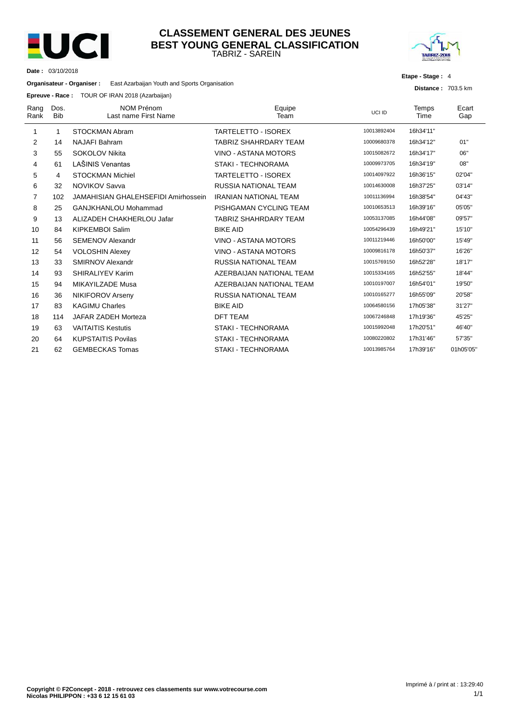

**Date :** 03/10/2018

### TABRIZ - SAREIN **CLASSEMENT GENERAL DES JEUNES BEST YOUNG GENERAL CLASSIFICATION**



**Etape - Stage :** 4

**Distance :** 703.5 km

**Organisateur - Organiser :** East Azarbaijan Youth and Sports Organisation

**Epreuve - Race :** TOUR OF IRAN 2018 (Azarbaijan)

| Rang<br>Rank | Dos.<br><b>Bib</b> | <b>NOM Prénom</b><br>Last name First Name | Equipe<br>Team               | UCI ID      | Temps<br>Time | Ecart<br>Gap |
|--------------|--------------------|-------------------------------------------|------------------------------|-------------|---------------|--------------|
| 1            | 1                  | STOCKMAN Abram                            | <b>TARTELETTO - ISOREX</b>   | 10013892404 | 16h34'11"     |              |
| 2            | 14                 | <b>NAJAFI Bahram</b>                      | <b>TABRIZ SHAHRDARY TEAM</b> | 10009680378 | 16h34'12"     | 01"          |
| 3            | 55                 | <b>SOKOLOV Nikita</b>                     | VINO - ASTANA MOTORS         | 10015082672 | 16h34'17"     | 06"          |
| 4            | 61                 | LAŠINIS Venantas                          | STAKI - TECHNORAMA           | 10009973705 | 16h34'19"     | 08"          |
| 5            | 4                  | <b>STOCKMAN Michiel</b>                   | <b>TARTELETTO - ISOREX</b>   | 10014097922 | 16h36'15"     | 02'04"       |
| 6            | 32                 | <b>NOVIKOV Savva</b>                      | <b>RUSSIA NATIONAL TEAM</b>  | 10014630008 | 16h37'25"     | 03'14"       |
| 7            | 102                | JAMAHISIAN GHALEHSEFIDI Amirhossein       | <b>IRANIAN NATIONAL TEAM</b> | 10011136994 | 16h38'54"     | 04'43"       |
| 8            | 25                 | GANJKHANLOU Mohammad                      | PISHGAMAN CYCLING TEAM       | 10010653513 | 16h39'16"     | 05'05"       |
| 9            | 13                 | ALIZADEH CHAKHERLOU Jafar                 | <b>TABRIZ SHAHRDARY TEAM</b> | 10053137085 | 16h44'08"     | 09'57"       |
| 10           | 84                 | <b>KIPKEMBOI Salim</b>                    | <b>BIKE AID</b>              | 10054296439 | 16h49'21"     | 15'10"       |
| 11           | 56                 | SEMENOV Alexandr                          | VINO - ASTANA MOTORS         | 10011219446 | 16h50'00"     | 15'49"       |
| 12           | 54                 | <b>VOLOSHIN Alexey</b>                    | VINO - ASTANA MOTORS         | 10009816178 | 16h50'37"     | 16'26"       |
| 13           | 33                 | <b>SMIRNOV Alexandr</b>                   | <b>RUSSIA NATIONAL TEAM</b>  | 10015769150 | 16h52'28"     | 18'17"       |
| 14           | 93                 | SHIRALIYEV Karim                          | AZERBAIJAN NATIONAL TEAM     | 10015334165 | 16h52'55"     | 18'44"       |
| 15           | 94                 | MIKAYILZADE Musa                          | AZERBAIJAN NATIONAL TEAM     | 10010197007 | 16h54'01"     | 19'50"       |
| 16           | 36                 | <b>NIKIFOROV Arseny</b>                   | <b>RUSSIA NATIONAL TEAM</b>  | 10010165277 | 16h55'09"     | 20'58"       |
| 17           | 83                 | <b>KAGIMU Charles</b>                     | <b>BIKE AID</b>              | 10064580156 | 17h05'38"     | 31'27"       |
| 18           | 114                | JAFAR ZADEH Morteza                       | <b>DFT TEAM</b>              | 10067246848 | 17h19'36"     | 45'25"       |
| 19           | 63                 | <b>VAITAITIS Kestutis</b>                 | <b>STAKI - TECHNORAMA</b>    | 10015992048 | 17h20'51"     | 46'40"       |
| 20           | 64                 | <b>KUPSTAITIS Povilas</b>                 | <b>STAKI - TECHNORAMA</b>    | 10080220802 | 17h31'46"     | 57'35"       |
| 21           | 62                 | <b>GEMBECKAS Tomas</b>                    | <b>STAKI - TECHNORAMA</b>    | 10013985764 | 17h39'16"     | 01h05'05"    |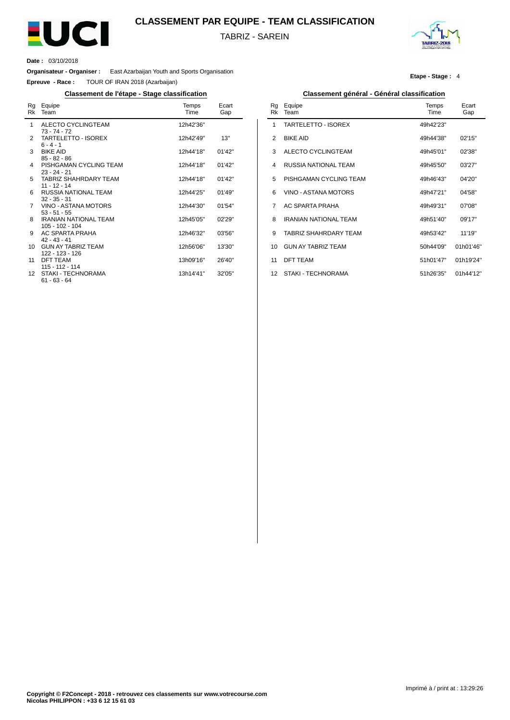

## **CLASSEMENT PAR EQUIPE - TEAM CLASSIFICATION**

TABRIZ - SAREIN



**Date :** 03/10/2018

 $\overline{a}$ 

**Organisateur - Organiser :** East Azarbaijan Youth and Sports Organisation

**Epreuve - Race :** TOUR OF IRAN 2018 (Azarbaijan)

### **Classement de l'étape - Stage classification Classement général - Général classification**

| Rg<br>Rk        | Equipe<br>Team                                    | Temps<br>Time | Ecart<br>Gap |
|-----------------|---------------------------------------------------|---------------|--------------|
| 1               | ALECTO CYCLINGTEAM<br>$73 - 74 - 72$              | 12h42'36"     |              |
| $\mathcal{P}$   | TARTELETTO - ISOREX<br>$6 - 4 - 1$                | 12h42'49"     | 13"          |
| 3               | <b>BIKE AID</b><br>$85 - 82 - 86$                 | 12h44'18"     | 01'42''      |
| 4               | PISHGAMAN CYCLING TEAM<br>$23 - 24 - 21$          | 12h44'18"     | 01'42''      |
| 5.              | <b>TABRIZ SHAHRDARY TEAM</b><br>$11 - 12 - 14$    | 12h44'18"     | 01'42''      |
| 6               | RUSSIA NATIONAL TEAM<br>$32 - 35 - 31$            | 12h44'25"     | 01'49''      |
| 7               | VINO - ASTANA MOTORS<br>$53 - 51 - 55$            | 12h44'30"     | 01'54"       |
| 8               | <b>IRANIAN NATIONAL TEAM</b><br>$105 - 102 - 104$ | 12h45'05"     | 02'29"       |
| 9               | AC SPARTA PRAHA<br>$42 - 43 - 41$                 | 12h46'32"     | 03'56"       |
| 10 <sup>1</sup> | <b>GUN AY TABRIZ TEAM</b><br>122 - 123 - 126      | 12h56'06"     | 13'30"       |
| 11              | DFT TEAM<br>115 - 112 - 114                       | 13h09'16"     | 26'40"       |
| 12              | STAKI - TECHNORAMA<br>$61 - 63 - 64$              | 13h14'41"     | 32'05"       |

#### **Etape - Stage :** 4

| Rg<br>Rk       | Equipe<br>Team               | Temps<br>Time | Ecart<br>Gap |
|----------------|------------------------------|---------------|--------------|
| 1              | TARTELETTO - ISOREX          | 49h42'23"     |              |
| $\mathfrak{p}$ | <b>BIKE AID</b>              | 49h44'38"     | 02'15"       |
| 3              | ALECTO CYCLINGTEAM           | 49h45'01"     | 02'38"       |
| 4              | <b>RUSSIA NATIONAL TEAM</b>  | 49h45'50"     | 03'27"       |
| 5              | PISHGAMAN CYCLING TEAM       | 49h46'43"     | 04'20"       |
| 6              | VINO - ASTANA MOTORS         | 49h47'21"     | 04'58"       |
| 7              | AC SPARTA PRAHA              | 49h49'31"     | 07'08"       |
| 8              | <b>IRANIAN NATIONAL TEAM</b> | 49h51'40"     | 09'17"       |
| 9              | TABRIZ SHAHRDARY TFAM        | 49h53'42"     | 11'19"       |
| 10             | <b>GUN AY TABRIZ TEAM</b>    | 50h44'09"     | 01h01'46"    |
| 11             | <b>DFT TEAM</b>              | 51h01'47"     | 01h19'24"    |
| 12             | STAKI - TECHNORAMA           | 51h26'35"     | 01h44'12"    |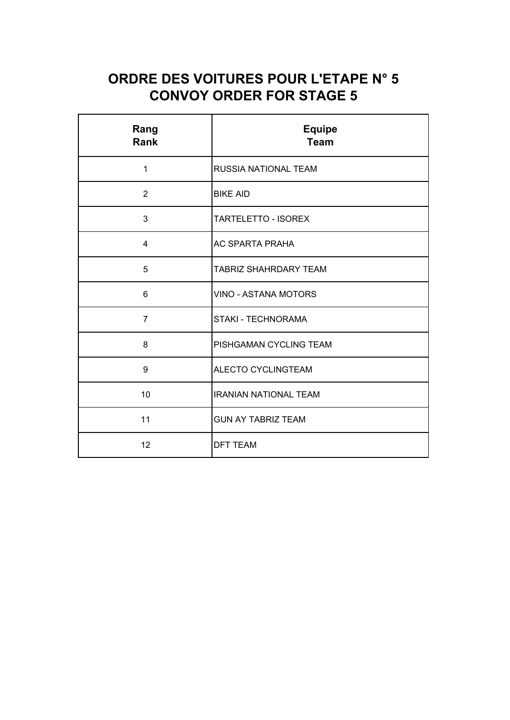# **ORDRE DES VOITURES POUR L'ETAPE N° 5 CONVOY ORDER FOR STAGE 5**

| Rang<br>Rank   | <b>Equipe</b><br><b>Team</b> |  |  |
|----------------|------------------------------|--|--|
| $\mathbf 1$    | RUSSIA NATIONAL TEAM         |  |  |
| 2              | <b>BIKE AID</b>              |  |  |
| 3              | <b>TARTELETTO - ISOREX</b>   |  |  |
| $\overline{4}$ | <b>AC SPARTA PRAHA</b>       |  |  |
| 5              | <b>TABRIZ SHAHRDARY TEAM</b> |  |  |
| 6              | <b>VINO - ASTANA MOTORS</b>  |  |  |
| $\overline{7}$ | <b>STAKI - TECHNORAMA</b>    |  |  |
| 8              | PISHGAMAN CYCLING TEAM       |  |  |
| 9              | ALECTO CYCLINGTEAM           |  |  |
| 10             | <b>IRANIAN NATIONAL TEAM</b> |  |  |
| 11             | <b>GUN AY TABRIZ TEAM</b>    |  |  |
| 12             | <b>DFT TEAM</b>              |  |  |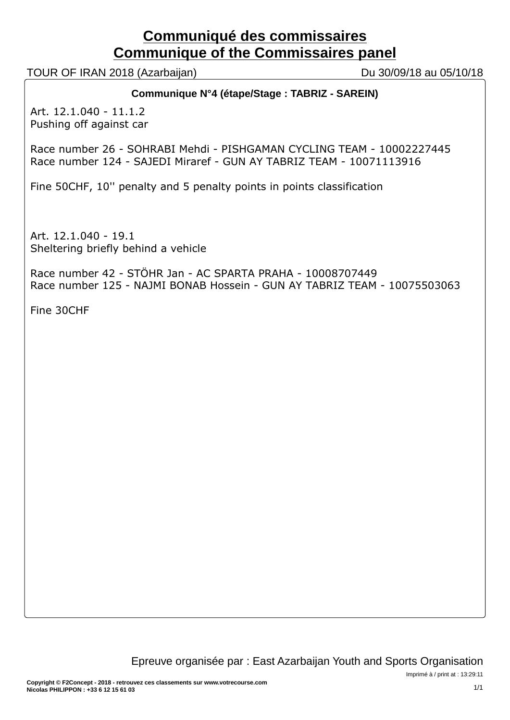# **Communiqué des commissaires Communique of the Commissaires panel**

TOUR OF IRAN 2018 (Azarbaijan) Du 30/09/18 au 05/10/18

# **Communique N°4 (étape/Stage : TABRIZ - SAREIN)**

Art. 12.1.040 - 11.1.2 Pushing off against car

Race number 26 - SOHRABI Mehdi - PISHGAMAN CYCLING TEAM - 10002227445 Race number 124 - SAJEDI Miraref - GUN AY TABRIZ TEAM - 10071113916

Fine 50CHF, 10'' penalty and 5 penalty points in points classification

Art. 12.1.040 - 19.1 Sheltering briefly behind a vehicle

Race number 42 - STÖHR Jan - AC SPARTA PRAHA - 10008707449 Race number 125 - NAJMI BONAB Hossein - GUN AY TABRIZ TEAM - 10075503063

Fine 30CHF

Imprimé à / print at : 13:29:11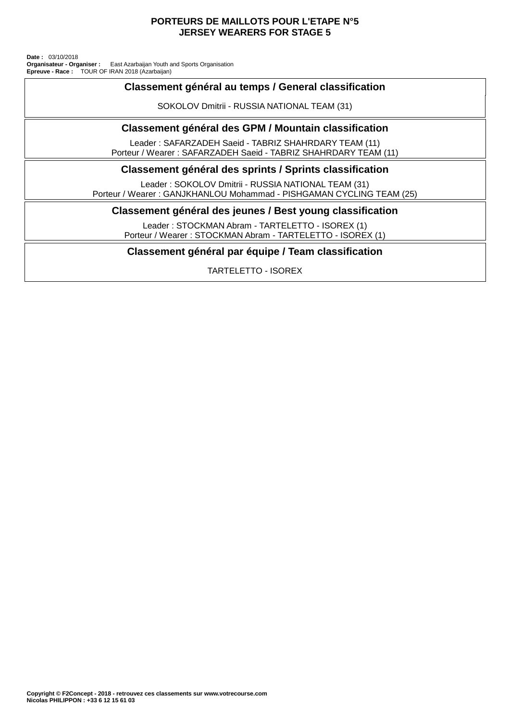### **PORTEURS DE MAILLOTS POUR L'ETAPE N°5 JERSEY WEARERS FOR STAGE 5**

TOUR OF IRAN 2018 (Azarbaijan) East Azarbaijan Youth and Sports Organisation **Date :** 03/10/2018 **Organisateur - Organiser : Epreuve - Race :**

# **Classement général au temps / General classification**

SOKOLOV Dmitrii - RUSSIA NATIONAL TEAM (31)

## **Classement général des GPM / Mountain classification**

Leader : SAFARZADEH Saeid - TABRIZ SHAHRDARY TEAM (11) Porteur / Wearer : SAFARZADEH Saeid - TABRIZ SHAHRDARY TEAM (11)

## **Classement général des sprints / Sprints classification**

Leader : SOKOLOV Dmitrii - RUSSIA NATIONAL TEAM (31) Porteur / Wearer : GANJKHANLOU Mohammad - PISHGAMAN CYCLING TEAM (25)

## **Classement général des jeunes / Best young classification**

Leader : STOCKMAN Abram - TARTELETTO - ISOREX (1) Porteur / Wearer : STOCKMAN Abram - TARTELETTO - ISOREX (1)

## **Classement général par équipe / Team classification**

TARTELETTO - ISOREX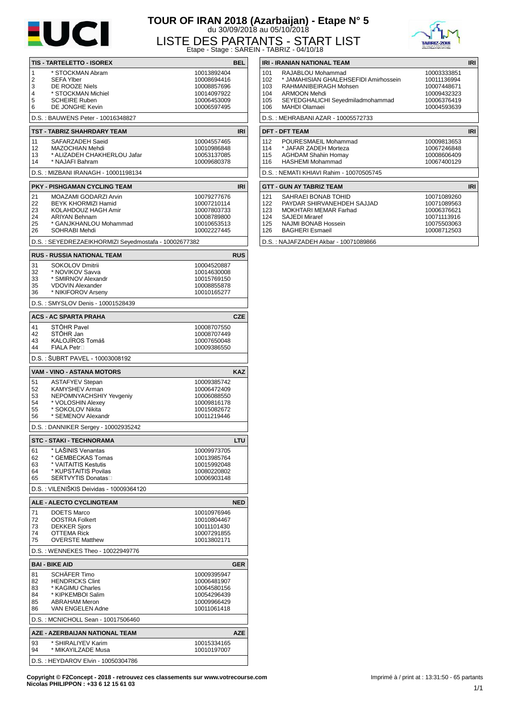

# **TOUR OF IRAN 2018 (Azarbaijan) - Etape N° 5** du 30/09/2018 au 05/10/2018



10008712503

LISTE DES PARTANTS - START LIST Etape - Stage : SAREIN - TABRIZ - 04/10/18

|                       |                                                      | Liape - Jiaye . UnitLi     |            |
|-----------------------|------------------------------------------------------|----------------------------|------------|
|                       | TIS - TARTELETTO - ISOREX                            |                            | <b>BEL</b> |
| $\mathbf{1}$          | * STOCKMAN Abram                                     | 10013892404                |            |
| 2                     | <b>SEFA Ylber</b>                                    | 10008694416                |            |
| 3                     | DE ROOZE Niels                                       | 10008857696                |            |
| 4                     | * STOCKMAN Michiel                                   | 10014097922                |            |
| 5                     | <b>SCHEIRE Ruben</b>                                 | 10006453009                |            |
| 6                     | DE JONGHE Kevin                                      | 10006597495                |            |
|                       | D.S.: BAUWENS Peter - 10016348827                    |                            |            |
|                       |                                                      |                            | <b>IRI</b> |
|                       | TST - TABRIZ SHAHRDARY TEAM                          |                            |            |
| 11<br>12 <sup>2</sup> | SAFARZADEH Saeid<br>MAZOCHIAN Mehdi                  | 10004557465                |            |
| 13                    | * ALIZADEH CHAKHERLOU Jafar                          | 10010986848<br>10053137085 |            |
| 14                    | * NAJAFI Bahram                                      | 10009680378                |            |
|                       |                                                      |                            |            |
|                       | D.S.: MIZBANI IRANAGH - 10001198134                  |                            |            |
|                       | PKY - PISHGAMAN CYCLING TEAM                         |                            | <b>IRI</b> |
| 21                    | MOAZAMI GODARZI Arvin                                | 10079277676                |            |
| 22                    | <b>BEYK KHORMIZI Hamid</b>                           | 10007210114                |            |
| 23                    | KOLAHDOUZ HAGH Amir                                  | 10007803733                |            |
| 24                    | <b>ARIYAN Behnam</b>                                 | 10008789800                |            |
| 25                    | * GANJKHANLOU Mohammad                               | 10010653513                |            |
| 26                    | SOHRABI Mehdi                                        | 10002227445                |            |
|                       | D.S.: SEYEDREZAEIKHORMIZI Seyedmostafa - 10002677382 |                            |            |
|                       | <b>RUS - RUSSIA NATIONAL TEAM</b>                    |                            | <b>RUS</b> |
| 31                    | <b>SOKOLOV Dmitrii</b>                               | 10004520887                |            |
| 32                    | * NOVIKOV Savva                                      | 10014630008                |            |
| 33                    | * SMIRNOV Alexandr                                   | 10015769150                |            |
| 35                    | <b>VDOVIN Alexander</b>                              | 10008855878                |            |
| 36                    | * NIKIFOROV Arseny                                   | 10010165277                |            |
|                       | D.S.: SMYSLOV Denis - 10001528439                    |                            |            |
|                       |                                                      |                            |            |
|                       | <b>ACS - AC SPARTA PRAHA</b><br>STÖHR Pavel          |                            | <b>CZE</b> |
| 41                    | STÖHR Jan                                            | 10008707550                |            |
| 42                    | KALOJÍROS Tomáš                                      | 10008707449                |            |
| 43<br>44              | FIALA Petr□                                          | 10007650048                |            |
|                       |                                                      | 10009386550                |            |
|                       | D.S.: ŠUBRT PAVEL - 10003008192                      |                            |            |
|                       | VAM - VINO - ASTANA MOTORS                           |                            | <b>KAZ</b> |
| 51                    | <b>ASTAFYEV Stepan</b>                               | 10009385742                |            |
| 52                    | KAMYSHEV Arman                                       | 10006472409                |            |
| 53                    | NEPOMNYACHSHIY Yevgeniy                              | 10006088550                |            |
| 54                    | * VOLOSHIN Alexey                                    | 10009816178                |            |
| 55                    | * SOKOLOV Nikita                                     | 10015082672                |            |
| 56                    | * SEMENOV Alexandr                                   | 10011219446                |            |
|                       | D.S.: DANNIKER Sergey - 10002935242                  |                            |            |
|                       | <b>STC - STAKI - TECHNORAMA</b>                      |                            | LTU        |
| 61                    | * LAŠINIS Venantas                                   | 10009973705                |            |
| 62                    | * GEMBECKAS Tomas                                    | 10013985764                |            |
| 63                    | * VAITAITIS Kestutis                                 | 10015992048                |            |
| 64                    | * KUPSTAITIS Povilas                                 | 10080220802                |            |
| 65                    | SERTVYTIS Donatas                                    | 10006903148                |            |
|                       | D.S.: VILENIŠKIS Deividas - 10009364120              |                            |            |
|                       | <b>ALE - ALECTO CYCLINGTEAM</b>                      |                            | <b>NED</b> |
|                       |                                                      |                            |            |
| 71                    | <b>DOETS Marco</b>                                   | 10010976946                |            |
| 72                    | <b>OOSTRA Folkert</b>                                | 10010804467                |            |
| 73                    | <b>DEKKER Sjors</b>                                  | 10011101430                |            |
| 74<br>75              | OTTEMA Rick<br><b>OVERSTE Matthew</b>                | 10007291855<br>10013802171 |            |
|                       |                                                      |                            |            |
|                       | D.S.: WENNEKES Theo - 10022949776                    |                            |            |
|                       | <b>BAI - BIKE AID</b>                                |                            | <b>GER</b> |
| 81                    | <b>SCHÄFER Timo</b>                                  | 10009395947                |            |
| 82                    | <b>HENDRICKS Clint</b>                               | 10006481907                |            |
| 83                    | * KAGIMU Charles                                     | 10064580156                |            |
| 84                    | * KIPKEMBOI Salim                                    | 10054296439                |            |
| 85                    | <b>ABRAHAM Meron</b>                                 | 10009966429                |            |
| 86                    | VAN ENGELEN Adne                                     | 10011061418                |            |
|                       | D.S.: MCNICHOLL Sean - 10017506460                   |                            |            |
|                       | AZE - AZERBAIJAN NATIONAL TEAM                       |                            | <b>AZE</b> |
| 93                    | * SHIRALIYEV Karim                                   | 10015334165                |            |
| 94                    | * MIKAYILZADE Musa                                   | 10010197007                |            |
|                       | D.S.: HEYDAROV Elvin - 10050304786                   |                            |            |

| Chick May 21-0 Straßen Hills<br>- TABRIZ - 04/10/18 |                                                       |             |            |  |  |  |  |  |
|-----------------------------------------------------|-------------------------------------------------------|-------------|------------|--|--|--|--|--|
| IRI - IRANIAN NATIONAL TEAM                         |                                                       |             |            |  |  |  |  |  |
| 101                                                 | RAJABLOU Mohammad                                     | 10003333851 |            |  |  |  |  |  |
| 102                                                 | * JAMAHISIAN GHALEHSEFIDI Amirhossein                 | 10011136994 |            |  |  |  |  |  |
| 103                                                 | RAHMANIBEIRAGH Mohsen                                 | 10007448671 |            |  |  |  |  |  |
| 104                                                 | ARMOON Mehdi                                          | 10009432323 |            |  |  |  |  |  |
| 105                                                 | SEYEDGHALICHI Seyedmiladmohammad                      | 10006376419 |            |  |  |  |  |  |
| 106                                                 | MAHDI Olamaei                                         | 10004593639 |            |  |  |  |  |  |
|                                                     | D.S.: MEHRABANI AZAR - 10005572733                    |             |            |  |  |  |  |  |
| <b>IRI</b><br><b>DFT - DFT TEAM</b>                 |                                                       |             |            |  |  |  |  |  |
|                                                     |                                                       |             |            |  |  |  |  |  |
| 112                                                 | POURESMAEIL Mohammad                                  | 10009813653 |            |  |  |  |  |  |
| 114                                                 | * JAFAR ZADEH Morteza                                 | 10067246848 |            |  |  |  |  |  |
| 115                                                 | <b>AGHDAM Shahin Homay</b><br><b>HASHEMI Mohammad</b> | 10008606409 |            |  |  |  |  |  |
| 116                                                 |                                                       | 10067400129 |            |  |  |  |  |  |
| D.S.: NEMATI KHIAVI Rahim - 10070505745             |                                                       |             |            |  |  |  |  |  |
|                                                     | <b>GTT - GUN AY TABRIZ TEAM</b>                       |             | <b>IRI</b> |  |  |  |  |  |
| 121                                                 | SAHRAEI BONAB TOHID                                   | 10071089260 |            |  |  |  |  |  |
| 122                                                 | PAYDAR SHIRVANEHDEH SAJJAD                            | 10071089563 |            |  |  |  |  |  |
| 123                                                 | MOKHTARI MEMAR Farhad                                 | 10006376621 |            |  |  |  |  |  |
| 124                                                 | <b>SAJEDI Miraref</b>                                 | 10071113916 |            |  |  |  |  |  |
| 125                                                 | NAJMI BONAB Hossein                                   | 10075503063 |            |  |  |  |  |  |
|                                                     |                                                       |             |            |  |  |  |  |  |

- 
- $126$ BAGHERI Esmaeil

D.S. : NAJAFZADEH Akbar - 10071089866